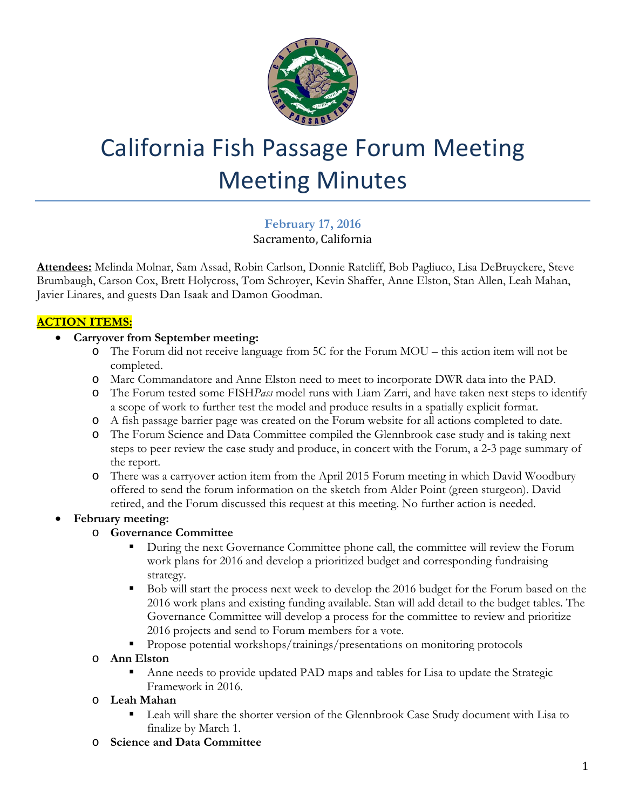

# California Fish Passage Forum Meeting Meeting Minutes

# **February 17, 2016** Sacramento, California

**Attendees:** Melinda Molnar, Sam Assad, Robin Carlson, Donnie Ratcliff, Bob Pagliuco, Lisa DeBruyckere, Steve Brumbaugh, Carson Cox, Brett Holycross, Tom Schroyer, Kevin Shaffer, Anne Elston, Stan Allen, Leah Mahan, Javier Linares, and guests Dan Isaak and Damon Goodman.

# **ACTION ITEMS:**

- **Carryover from September meeting:** 
	- o The Forum did not receive language from 5C for the Forum MOU this action item will not be completed.
	- o Marc Commandatore and Anne Elston need to meet to incorporate DWR data into the PAD.
	- o The Forum tested some FISH*Pass* model runs with Liam Zarri, and have taken next steps to identify a scope of work to further test the model and produce results in a spatially explicit format.
	- o A fish passage barrier page was created on the Forum website for all actions completed to date.
	- o The Forum Science and Data Committee compiled the Glennbrook case study and is taking next steps to peer review the case study and produce, in concert with the Forum, a 2-3 page summary of the report.
	- o There was a carryover action item from the April 2015 Forum meeting in which David Woodbury offered to send the forum information on the sketch from Alder Point (green sturgeon). David retired, and the Forum discussed this request at this meeting. No further action is needed.

# • **February meeting:**

# o **Governance Committee**

- During the next Governance Committee phone call, the committee will review the Forum work plans for 2016 and develop a prioritized budget and corresponding fundraising strategy.
- Bob will start the process next week to develop the 2016 budget for the Forum based on the 2016 work plans and existing funding available. Stan will add detail to the budget tables. The Governance Committee will develop a process for the committee to review and prioritize 2016 projects and send to Forum members for a vote.
- **Propose potential workshops/trainings/presentations on monitoring protocols**

# o **Ann Elston**

 Anne needs to provide updated PAD maps and tables for Lisa to update the Strategic Framework in 2016.

# o **Leah Mahan**

- Leah will share the shorter version of the Glennbrook Case Study document with Lisa to finalize by March 1.
- o **Science and Data Committee**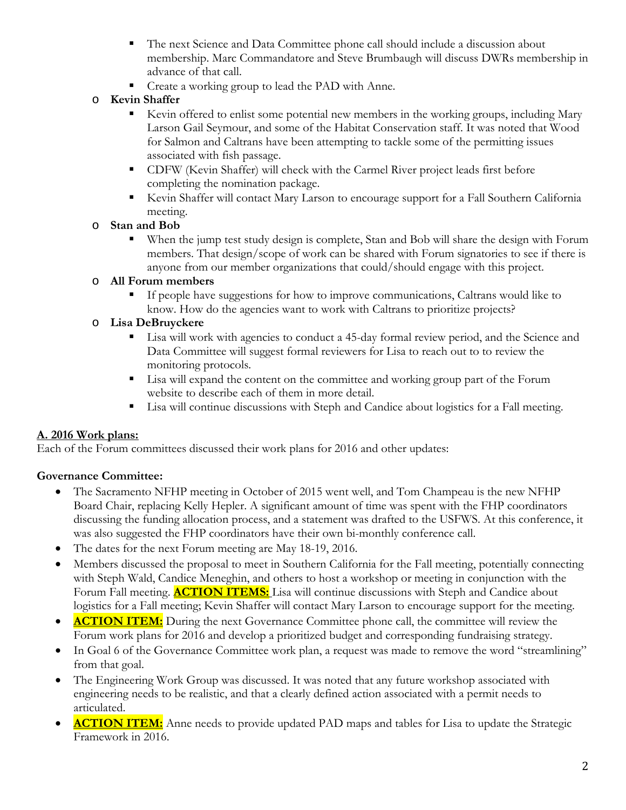- The next Science and Data Committee phone call should include a discussion about membership. Marc Commandatore and Steve Brumbaugh will discuss DWRs membership in advance of that call.
- Create a working group to lead the PAD with Anne.

# o **Kevin Shaffer**

- Kevin offered to enlist some potential new members in the working groups, including Mary Larson Gail Seymour, and some of the Habitat Conservation staff. It was noted that Wood for Salmon and Caltrans have been attempting to tackle some of the permitting issues associated with fish passage.
- CDFW (Kevin Shaffer) will check with the Carmel River project leads first before completing the nomination package.
- Kevin Shaffer will contact Mary Larson to encourage support for a Fall Southern California meeting.

# o **Stan and Bob**

 When the jump test study design is complete, Stan and Bob will share the design with Forum members. That design/scope of work can be shared with Forum signatories to see if there is anyone from our member organizations that could/should engage with this project.

# o **All Forum members**

 If people have suggestions for how to improve communications, Caltrans would like to know. How do the agencies want to work with Caltrans to prioritize projects?

# o **Lisa DeBruyckere**

- Lisa will work with agencies to conduct a 45-day formal review period, and the Science and Data Committee will suggest formal reviewers for Lisa to reach out to to review the monitoring protocols.
- **Lisa will expand the content on the committee and working group part of the Forum** website to describe each of them in more detail.
- Lisa will continue discussions with Steph and Candice about logistics for a Fall meeting.

# **A. 2016 Work plans:**

Each of the Forum committees discussed their work plans for 2016 and other updates:

# **Governance Committee:**

- The Sacramento NFHP meeting in October of 2015 went well, and Tom Champeau is the new NFHP Board Chair, replacing Kelly Hepler. A significant amount of time was spent with the FHP coordinators discussing the funding allocation process, and a statement was drafted to the USFWS. At this conference, it was also suggested the FHP coordinators have their own bi-monthly conference call.
- The dates for the next Forum meeting are May 18-19, 2016.
- Members discussed the proposal to meet in Southern California for the Fall meeting, potentially connecting with Steph Wald, Candice Meneghin, and others to host a workshop or meeting in conjunction with the Forum Fall meeting. **ACTION ITEMS:** Lisa will continue discussions with Steph and Candice about logistics for a Fall meeting; Kevin Shaffer will contact Mary Larson to encourage support for the meeting.
- **ACTION ITEM:** During the next Governance Committee phone call, the committee will review the Forum work plans for 2016 and develop a prioritized budget and corresponding fundraising strategy.
- In Goal 6 of the Governance Committee work plan, a request was made to remove the word "streamlining" from that goal.
- The Engineering Work Group was discussed. It was noted that any future workshop associated with engineering needs to be realistic, and that a clearly defined action associated with a permit needs to articulated.
- **ACTION ITEM:** Anne needs to provide updated PAD maps and tables for Lisa to update the Strategic Framework in 2016.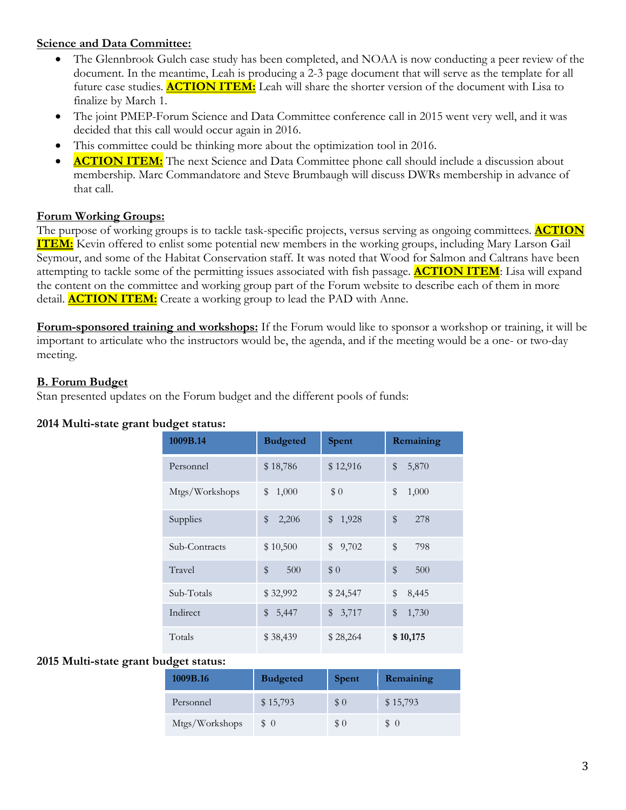# **Science and Data Committee:**

- The Glennbrook Gulch case study has been completed, and NOAA is now conducting a peer review of the document. In the meantime, Leah is producing a 2-3 page document that will serve as the template for all future case studies. **ACTION ITEM:** Leah will share the shorter version of the document with Lisa to finalize by March 1.
- The joint PMEP-Forum Science and Data Committee conference call in 2015 went very well, and it was decided that this call would occur again in 2016.
- This committee could be thinking more about the optimization tool in 2016.
- **ACTION ITEM:** The next Science and Data Committee phone call should include a discussion about membership. Marc Commandatore and Steve Brumbaugh will discuss DWRs membership in advance of that call.

# **Forum Working Groups:**

The purpose of working groups is to tackle task-specific projects, versus serving as ongoing committees. **ACTION ITEM:** Kevin offered to enlist some potential new members in the working groups, including Mary Larson Gail Seymour, and some of the Habitat Conservation staff. It was noted that Wood for Salmon and Caltrans have been attempting to tackle some of the permitting issues associated with fish passage. **ACTION ITEM**: Lisa will expand the content on the committee and working group part of the Forum website to describe each of them in more detail. **ACTION ITEM:** Create a working group to lead the PAD with Anne.

**Forum-sponsored training and workshops:** If the Forum would like to sponsor a workshop or training, it will be important to articulate who the instructors would be, the agenda, and if the meeting would be a one- or two-day meeting.

# **B. Forum Budget**

Stan presented updates on the Forum budget and the different pools of funds:

| $\mathbf{\sigma}$<br>1009B.14 | <b>Budgeted</b> | Spent       | Remaining   |
|-------------------------------|-----------------|-------------|-------------|
| Personnel                     | \$18,786        | \$12,916    | \$<br>5,870 |
| Mtgs/Workshops                | \$<br>1,000     | \$0         | \$<br>1,000 |
| Supplies                      | \$<br>2,206     | \$1,928     | \$<br>278   |
| Sub-Contracts                 | \$10,500        | \$<br>9,702 | \$<br>798   |
| Travel                        | \$<br>500       | \$0         | \$<br>500   |
| Sub-Totals                    | \$32,992        | \$24,547    | \$<br>8,445 |
| Indirect                      | \$<br>5,447     | 3,717<br>\$ | \$<br>1,730 |
| Totals                        | \$38,439        | \$28,264    | \$10,175    |

# **2014 Multi-state grant budget status:**

#### **2015 Multi-state grant budget status:**

| 1009B.16       | <b>Budgeted</b> | Spent | Remaining   |
|----------------|-----------------|-------|-------------|
| Personnel      | \$15,793        | \$0   | \$15,793    |
| Mtgs/Workshops | \$ 0            | \$0   | $\degree$ 0 |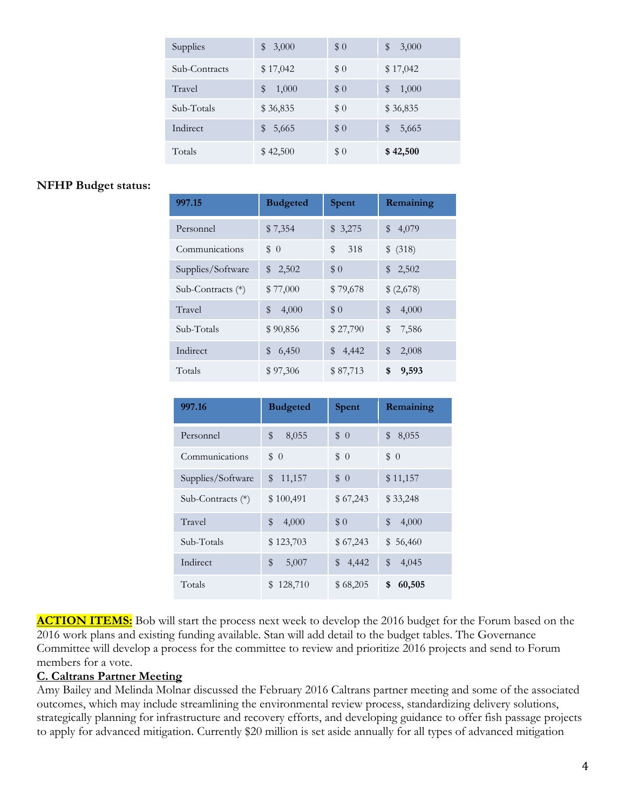| Supplies      | 3,000<br>\$ | \$0 | \$<br>3,000 |
|---------------|-------------|-----|-------------|
| Sub-Contracts | \$17,042    | \$0 | \$17,042    |
| Travel        | 1,000<br>S  | \$0 | 1,000<br>\$ |
| Sub-Totals    | \$36,835    | \$0 | \$36,835    |
| Indirect      | 5,665<br>S  | \$0 | 5,665<br>\$ |
| Totals        | \$42,500    | \$0 | \$42,500    |

#### **NFHP Budget status:**

| 997.15              | <b>Budgeted</b>        | Spent       | Remaining             |
|---------------------|------------------------|-------------|-----------------------|
| Personnel           | \$7,354                | \$3,275     | 4,079<br>\$           |
| Communications      | \$0                    | \$<br>318   | (318)<br>\$           |
| Supplies/Software   | 2,502<br>\$            | \$0         | \$<br>2,502           |
| Sub-Contracts $(*)$ | \$77,000               | \$79,678    | \$(2,678)             |
| Travel              | $\mathcal{L}$<br>4,000 | \$0         | $\mathbb{S}$<br>4,000 |
| Sub-Totals          | \$90,856               | \$27,790    | \$<br>7,586           |
| Indirect            | \$<br>6,450            | \$<br>4,442 | $\mathbb{S}$<br>2,008 |
| Totals              | \$97,306               | \$87,713    | \$<br>9,593           |

| 997.16              | <b>Budgeted</b> | Spent                | Remaining    |
|---------------------|-----------------|----------------------|--------------|
| Personnel           | \$<br>8,055     | \$0                  | \$<br>8,055  |
| Communications      | \$0             | \$<br>$\theta$       | \$0          |
| Supplies/Software   | \$<br>11,157    | \$<br>$\overline{0}$ | \$11,157     |
| Sub-Contracts $(*)$ | \$100,491       | \$67,243             | \$33,248     |
| Travel              | \$<br>4,000     | \$0                  | \$<br>4,000  |
| Sub-Totals          | \$123,703       | \$67,243             | \$56,460     |
| Indirect            | \$<br>5,007     | \$<br>4,442          | \$<br>4,045  |
| Totals              | 128,710<br>\$   | \$68,205             | 60,505<br>\$ |

**ACTION ITEMS:** Bob will start the process next week to develop the 2016 budget for the Forum based on the 2016 work plans and existing funding available. Stan will add detail to the budget tables. The Governance Committee will develop a process for the committee to review and prioritize 2016 projects and send to Forum members for a vote.

#### **C. Caltrans Partner Meeting**

Amy Bailey and Melinda Molnar discussed the February 2016 Caltrans partner meeting and some of the associated outcomes, which may include streamlining the environmental review process, standardizing delivery solutions, strategically planning for infrastructure and recovery efforts, and developing guidance to offer fish passage projects to apply for advanced mitigation. Currently \$20 million is set aside annually for all types of advanced mitigation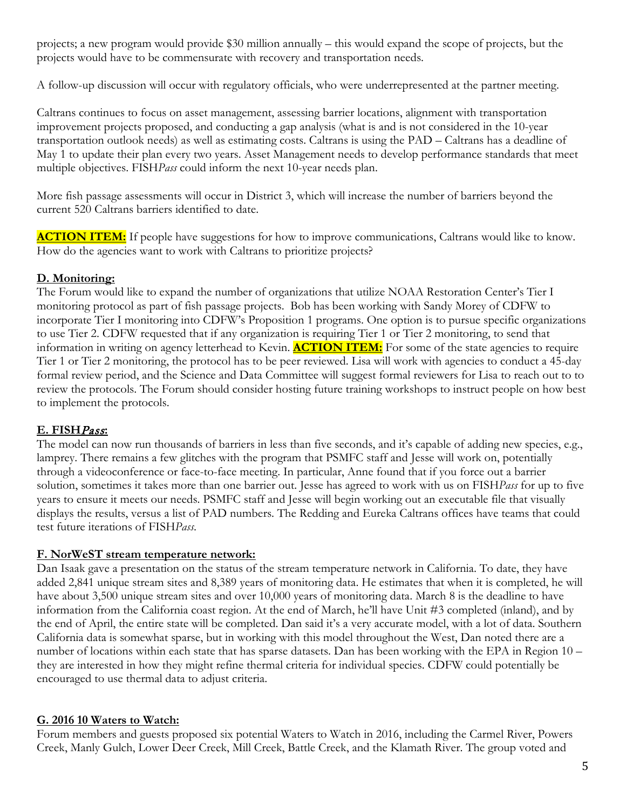projects; a new program would provide \$30 million annually – this would expand the scope of projects, but the projects would have to be commensurate with recovery and transportation needs.

A follow-up discussion will occur with regulatory officials, who were underrepresented at the partner meeting.

Caltrans continues to focus on asset management, assessing barrier locations, alignment with transportation improvement projects proposed, and conducting a gap analysis (what is and is not considered in the 10-year transportation outlook needs) as well as estimating costs. Caltrans is using the PAD – Caltrans has a deadline of May 1 to update their plan every two years. Asset Management needs to develop performance standards that meet multiple objectives. FISH*Pass* could inform the next 10-year needs plan.

More fish passage assessments will occur in District 3, which will increase the number of barriers beyond the current 520 Caltrans barriers identified to date.

**ACTION ITEM:** If people have suggestions for how to improve communications, Caltrans would like to know. How do the agencies want to work with Caltrans to prioritize projects?

#### **D. Monitoring:**

The Forum would like to expand the number of organizations that utilize NOAA Restoration Center's Tier I monitoring protocol as part of fish passage projects. Bob has been working with Sandy Morey of CDFW to incorporate Tier I monitoring into CDFW's Proposition 1 programs. One option is to pursue specific organizations to use Tier 2. CDFW requested that if any organization is requiring Tier 1 or Tier 2 monitoring, to send that information in writing on agency letterhead to Kevin. **ACTION ITEM:** For some of the state agencies to require Tier 1 or Tier 2 monitoring, the protocol has to be peer reviewed. Lisa will work with agencies to conduct a 45-day formal review period, and the Science and Data Committee will suggest formal reviewers for Lisa to reach out to to review the protocols. The Forum should consider hosting future training workshops to instruct people on how best to implement the protocols.

# **E. FISH**Pass**:**

The model can now run thousands of barriers in less than five seconds, and it's capable of adding new species, e.g., lamprey. There remains a few glitches with the program that PSMFC staff and Jesse will work on, potentially through a videoconference or face-to-face meeting. In particular, Anne found that if you force out a barrier solution, sometimes it takes more than one barrier out. Jesse has agreed to work with us on FISH*Pass* for up to five years to ensure it meets our needs. PSMFC staff and Jesse will begin working out an executable file that visually displays the results, versus a list of PAD numbers. The Redding and Eureka Caltrans offices have teams that could test future iterations of FISH*Pass*.

# **F. NorWeST stream temperature network:**

Dan Isaak gave a presentation on the status of the stream temperature network in California. To date, they have added 2,841 unique stream sites and 8,389 years of monitoring data. He estimates that when it is completed, he will have about 3,500 unique stream sites and over 10,000 years of monitoring data. March 8 is the deadline to have information from the California coast region. At the end of March, he'll have Unit #3 completed (inland), and by the end of April, the entire state will be completed. Dan said it's a very accurate model, with a lot of data. Southern California data is somewhat sparse, but in working with this model throughout the West, Dan noted there are a number of locations within each state that has sparse datasets. Dan has been working with the EPA in Region 10 – they are interested in how they might refine thermal criteria for individual species. CDFW could potentially be encouraged to use thermal data to adjust criteria.

# **G. 2016 10 Waters to Watch:**

Forum members and guests proposed six potential Waters to Watch in 2016, including the Carmel River, Powers Creek, Manly Gulch, Lower Deer Creek, Mill Creek, Battle Creek, and the Klamath River. The group voted and